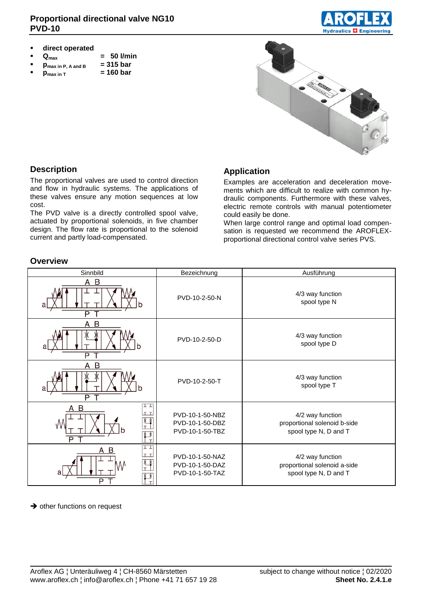

- **direct operated**
- 
- **a**  $Q_{\text{max}}$  **= 50 l/min**<br>**p**  $Q_{\text{max in P. A and B}}$  = 315 bar
- $p_{\text{max in P, A and B}} = 315 \text{ bar}$ <br> $p_{\text{max in T}} = 160 \text{ bar}$
- **p**<sub>max in T</sub>



#### **Description**

**Overview**

The proportional valves are used to control direction and flow in hydraulic systems. The applications of these valves ensure any motion sequences at low cost.

The PVD valve is a directly controlled spool valve, actuated by proportional solenoids, in five chamber design. The flow rate is proportional to the solenoid current and partly load-compensated.

#### **Application**

Examples are acceleration and deceleration movements which are difficult to realize with common hydraulic components. Furthermore with these valves, electric remote controls with manual potentiometer could easily be done.

When large control range and optimal load compensation is requested we recommend the AROFLEXproportional directional control valve series PVS.

| Sinnbild                                                         | Bezeichnung                                           | Ausführung                                                                |
|------------------------------------------------------------------|-------------------------------------------------------|---------------------------------------------------------------------------|
| A B<br>a<br>$\overline{\mathsf{P}}$                              | PVD-10-2-50-N                                         | 4/3 way function<br>spool type N                                          |
| B<br>A<br>P                                                      | PVD-10-2-50-D                                         | 4/3 way function<br>spool type D                                          |
| B<br>A<br>a<br>$\overline{P}$                                    | PVD-10-2-50-T                                         | 4/3 way function<br>spool type T                                          |
| 工工<br>A B<br>lt t<br>W<br>D<br>$\top$                            | PVD-10-1-50-NBZ<br>PVD-10-1-50-DBZ<br>PVD-10-1-50-TBZ | 4/2 way function<br>proportional solenoid b-side<br>spool type N, D and T |
| ⊥⊥<br>A B<br>ت تا<br>$\mathbb{Z}^*$<br>$\frac{1}{\sqrt{1}}$<br>P | PVD-10-1-50-NAZ<br>PVD-10-1-50-DAZ<br>PVD-10-1-50-TAZ | 4/2 way function<br>proportional solenoid a-side<br>spool type N, D and T |

#### $\rightarrow$  other functions on request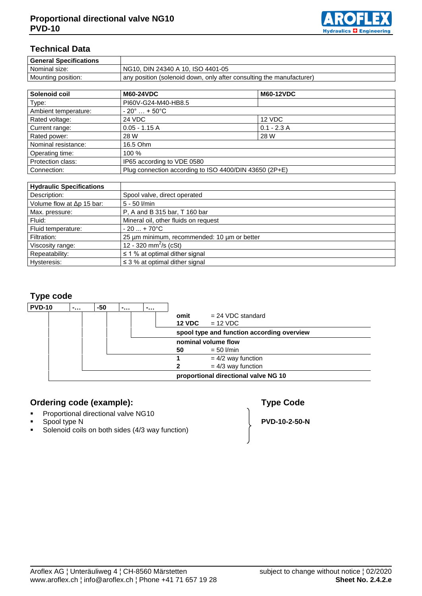

# **Technical Data**

| <b>General Specifications</b> |                                                                      |
|-------------------------------|----------------------------------------------------------------------|
| Nominal size:                 | NG10, DIN 24340 A 10, ISO 4401-05                                    |
| Mounting position:            | any position (solenoid down, only after consulting the manufacturer) |

| Solenoid coil        | <b>M60-24VDC</b>                                       | <b>M60-12VDC</b> |  |
|----------------------|--------------------------------------------------------|------------------|--|
| Type:                | PI60V-G24-M40-HB8.5                                    |                  |  |
| Ambient temperature: | $-20^{\circ}$ + 50 $^{\circ}$ C                        |                  |  |
| Rated voltage:       | 24 VDC                                                 | 12 VDC           |  |
| Current range:       | $0.05 - 1.15 A$                                        | $0.1 - 2.3$ A    |  |
| Rated power:         | 28 W                                                   | 28 W             |  |
| Nominal resistance:  | 16.5 Ohm                                               |                  |  |
| Operating time:      | 100 %                                                  |                  |  |
| Protection class:    | IP65 according to VDE 0580                             |                  |  |
| Connection:          | Plug connection according to ISO 4400/DIN 43650 (2P+E) |                  |  |

| <b>Hydraulic Specifications</b> |                                             |
|---------------------------------|---------------------------------------------|
| Description:                    | Spool valve, direct operated                |
| Volume flow at Δp 15 bar:       | $5 - 50$ $I/min$                            |
| Max. pressure:                  | P, A and B 315 bar, T 160 bar               |
| Fluid:                          | Mineral oil, other fluids on request        |
| Fluid temperature:              | $-20+70$ °C                                 |
| Filtration:                     | 25 um minimum, recommended: 10 um or better |
| Viscosity range:                | 12 - 320 mm <sup>2</sup> /s (cSt)           |
| Repeatability:                  | $\leq$ 1 % at optimal dither signal         |
| Hysteresis:                     | $\leq$ 3 % at optimal dither signal         |

# **Type code**



# **Ordering code (example): Type Code**

- **Proportional directional valve NG10**<br>**Proportive N**
- 
- **Spool type N**<br> **Solenoid coils on both sides (4/3 wav function)**<br> **PVD-10-2-50-N** Solenoid coils on both sides (4/3 way function)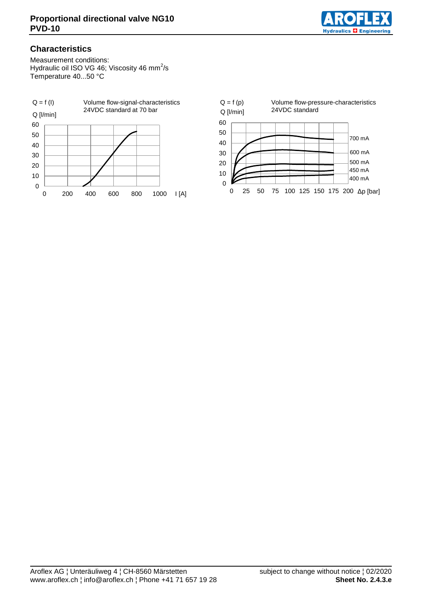

# **Characteristics**

Measurement conditions: Hydraulic oil ISO VG 46; Viscosity 46 mm<sup>2</sup>/s Temperature 40...50 °C